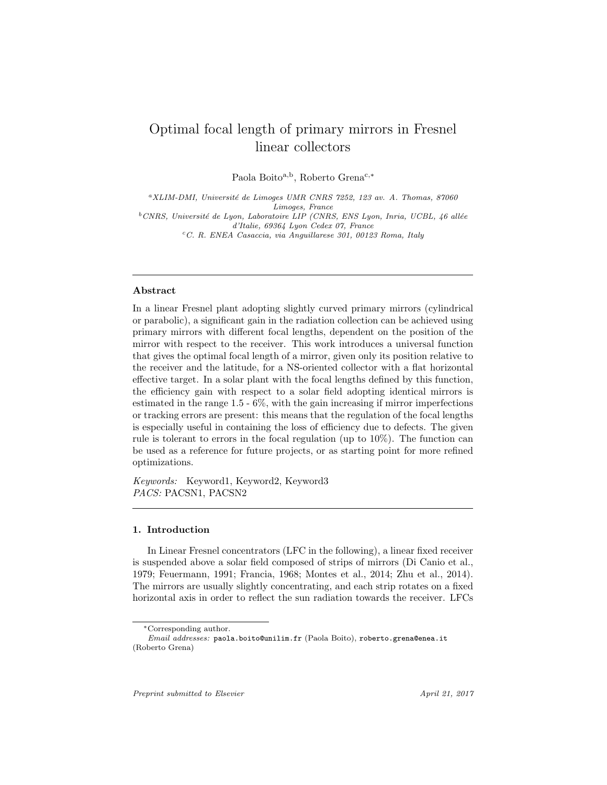# Optimal focal length of primary mirrors in Fresnel linear collectors

Paola Boito<sup>a,b</sup>, Roberto Grena<sup>c,\*</sup>

 ${}^aXLIM-DMI$ , Université de Limoges UMR CNRS 7252, 123 av. A. Thomas, 87060 Limoges, France  $b$ CNRS, Université de Lyon, Laboratoire LIP (CNRS, ENS Lyon, Inria, UCBL, 46 allée d'Italie, 69364 Lyon Cedex 07, France  ${}^cC.$  R. ENEA Casaccia, via Anguillarese 301, 00123 Roma, Italy

### Abstract

In a linear Fresnel plant adopting slightly curved primary mirrors (cylindrical or parabolic), a significant gain in the radiation collection can be achieved using primary mirrors with different focal lengths, dependent on the position of the mirror with respect to the receiver. This work introduces a universal function that gives the optimal focal length of a mirror, given only its position relative to the receiver and the latitude, for a NS-oriented collector with a flat horizontal effective target. In a solar plant with the focal lengths defined by this function, the efficiency gain with respect to a solar field adopting identical mirrors is estimated in the range 1.5 - 6%, with the gain increasing if mirror imperfections or tracking errors are present: this means that the regulation of the focal lengths is especially useful in containing the loss of efficiency due to defects. The given rule is tolerant to errors in the focal regulation (up to 10%). The function can be used as a reference for future projects, or as starting point for more refined optimizations.

Keywords: Keyword1, Keyword2, Keyword3 PACS: PACSN1, PACSN2

### 1. Introduction

In Linear Fresnel concentrators (LFC in the following), a linear fixed receiver is suspended above a solar field composed of strips of mirrors (Di Canio et al., 1979; Feuermann, 1991; Francia, 1968; Montes et al., 2014; Zhu et al., 2014). The mirrors are usually slightly concentrating, and each strip rotates on a fixed horizontal axis in order to reflect the sun radiation towards the receiver. LFCs

Preprint submitted to Elsevier April 21, 2017

<sup>∗</sup>Corresponding author.

Email addresses: paola.boito@unilim.fr (Paola Boito), roberto.grena@enea.it (Roberto Grena)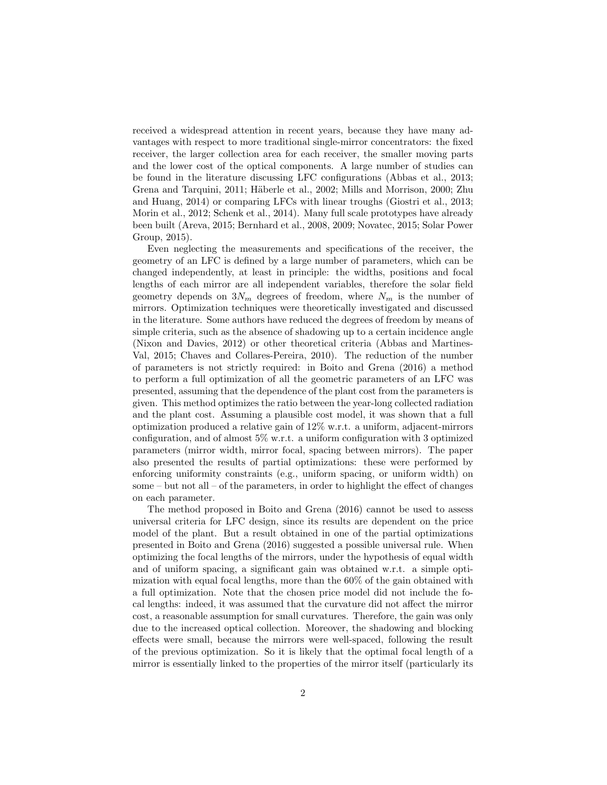received a widespread attention in recent years, because they have many advantages with respect to more traditional single-mirror concentrators: the fixed receiver, the larger collection area for each receiver, the smaller moving parts and the lower cost of the optical components. A large number of studies can be found in the literature discussing LFC configurations (Abbas et al., 2013; Grena and Tarquini, 2011; Häberle et al., 2002; Mills and Morrison, 2000; Zhu and Huang, 2014) or comparing LFCs with linear troughs (Giostri et al., 2013; Morin et al., 2012; Schenk et al., 2014). Many full scale prototypes have already been built (Areva, 2015; Bernhard et al., 2008, 2009; Novatec, 2015; Solar Power Group, 2015).

Even neglecting the measurements and specifications of the receiver, the geometry of an LFC is defined by a large number of parameters, which can be changed independently, at least in principle: the widths, positions and focal lengths of each mirror are all independent variables, therefore the solar field geometry depends on  $3N_m$  degrees of freedom, where  $N_m$  is the number of mirrors. Optimization techniques were theoretically investigated and discussed in the literature. Some authors have reduced the degrees of freedom by means of simple criteria, such as the absence of shadowing up to a certain incidence angle (Nixon and Davies, 2012) or other theoretical criteria (Abbas and Martines-Val, 2015; Chaves and Collares-Pereira, 2010). The reduction of the number of parameters is not strictly required: in Boito and Grena (2016) a method to perform a full optimization of all the geometric parameters of an LFC was presented, assuming that the dependence of the plant cost from the parameters is given. This method optimizes the ratio between the year-long collected radiation and the plant cost. Assuming a plausible cost model, it was shown that a full optimization produced a relative gain of 12% w.r.t. a uniform, adjacent-mirrors configuration, and of almost 5% w.r.t. a uniform configuration with 3 optimized parameters (mirror width, mirror focal, spacing between mirrors). The paper also presented the results of partial optimizations: these were performed by enforcing uniformity constraints (e.g., uniform spacing, or uniform width) on some – but not all – of the parameters, in order to highlight the effect of changes on each parameter.

The method proposed in Boito and Grena (2016) cannot be used to assess universal criteria for LFC design, since its results are dependent on the price model of the plant. But a result obtained in one of the partial optimizations presented in Boito and Grena (2016) suggested a possible universal rule. When optimizing the focal lengths of the mirrors, under the hypothesis of equal width and of uniform spacing, a significant gain was obtained w.r.t. a simple optimization with equal focal lengths, more than the 60% of the gain obtained with a full optimization. Note that the chosen price model did not include the focal lengths: indeed, it was assumed that the curvature did not affect the mirror cost, a reasonable assumption for small curvatures. Therefore, the gain was only due to the increased optical collection. Moreover, the shadowing and blocking effects were small, because the mirrors were well-spaced, following the result of the previous optimization. So it is likely that the optimal focal length of a mirror is essentially linked to the properties of the mirror itself (particularly its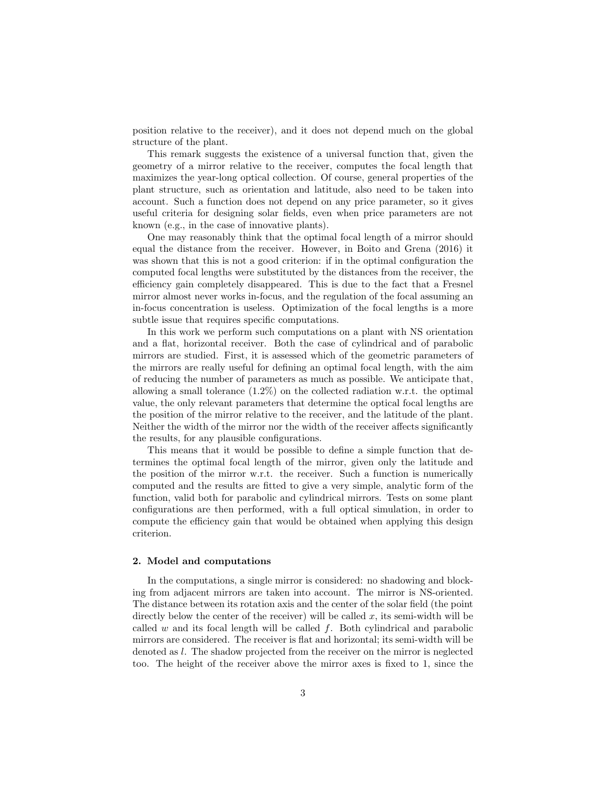position relative to the receiver), and it does not depend much on the global structure of the plant.

This remark suggests the existence of a universal function that, given the geometry of a mirror relative to the receiver, computes the focal length that maximizes the year-long optical collection. Of course, general properties of the plant structure, such as orientation and latitude, also need to be taken into account. Such a function does not depend on any price parameter, so it gives useful criteria for designing solar fields, even when price parameters are not known (e.g., in the case of innovative plants).

One may reasonably think that the optimal focal length of a mirror should equal the distance from the receiver. However, in Boito and Grena (2016) it was shown that this is not a good criterion: if in the optimal configuration the computed focal lengths were substituted by the distances from the receiver, the efficiency gain completely disappeared. This is due to the fact that a Fresnel mirror almost never works in-focus, and the regulation of the focal assuming an in-focus concentration is useless. Optimization of the focal lengths is a more subtle issue that requires specific computations.

In this work we perform such computations on a plant with NS orientation and a flat, horizontal receiver. Both the case of cylindrical and of parabolic mirrors are studied. First, it is assessed which of the geometric parameters of the mirrors are really useful for defining an optimal focal length, with the aim of reducing the number of parameters as much as possible. We anticipate that, allowing a small tolerance (1.2%) on the collected radiation w.r.t. the optimal value, the only relevant parameters that determine the optical focal lengths are the position of the mirror relative to the receiver, and the latitude of the plant. Neither the width of the mirror nor the width of the receiver affects significantly the results, for any plausible configurations.

This means that it would be possible to define a simple function that determines the optimal focal length of the mirror, given only the latitude and the position of the mirror w.r.t. the receiver. Such a function is numerically computed and the results are fitted to give a very simple, analytic form of the function, valid both for parabolic and cylindrical mirrors. Tests on some plant configurations are then performed, with a full optical simulation, in order to compute the efficiency gain that would be obtained when applying this design criterion.

#### 2. Model and computations

In the computations, a single mirror is considered: no shadowing and blocking from adjacent mirrors are taken into account. The mirror is NS-oriented. The distance between its rotation axis and the center of the solar field (the point directly below the center of the receiver) will be called  $x$ , its semi-width will be called w and its focal length will be called f. Both cylindrical and parabolic mirrors are considered. The receiver is flat and horizontal; its semi-width will be denoted as l. The shadow projected from the receiver on the mirror is neglected too. The height of the receiver above the mirror axes is fixed to 1, since the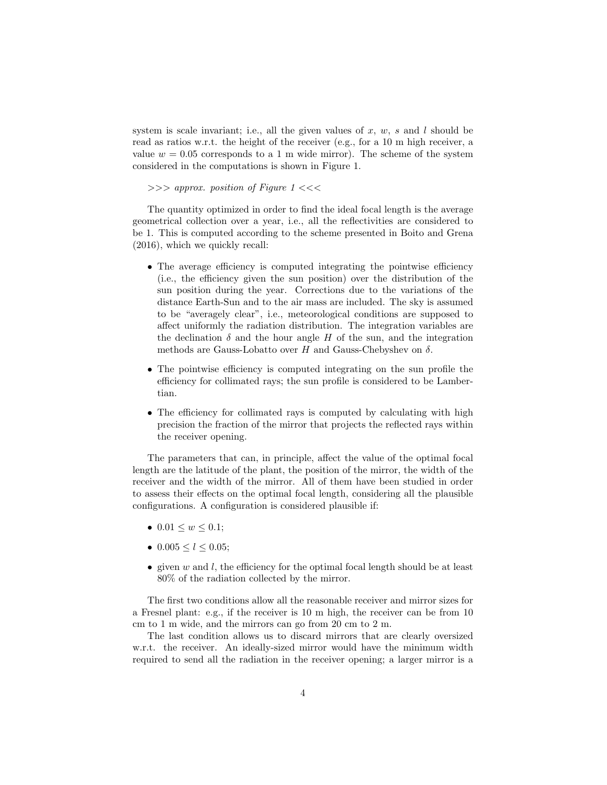system is scale invariant; i.e., all the given values of  $x, w, s$  and  $l$  should be read as ratios w.r.t. the height of the receiver (e.g., for a 10 m high receiver, a value  $w = 0.05$  corresponds to a 1 m wide mirror). The scheme of the system considered in the computations is shown in Figure 1.

 $\gg$  > approx. position of Figure 1 <<<

The quantity optimized in order to find the ideal focal length is the average geometrical collection over a year, i.e., all the reflectivities are considered to be 1. This is computed according to the scheme presented in Boito and Grena (2016), which we quickly recall:

- The average efficiency is computed integrating the pointwise efficiency (i.e., the efficiency given the sun position) over the distribution of the sun position during the year. Corrections due to the variations of the distance Earth-Sun and to the air mass are included. The sky is assumed to be "averagely clear", i.e., meteorological conditions are supposed to affect uniformly the radiation distribution. The integration variables are the declination  $\delta$  and the hour angle H of the sun, and the integration methods are Gauss-Lobatto over H and Gauss-Chebyshev on  $\delta$ .
- The pointwise efficiency is computed integrating on the sun profile the efficiency for collimated rays; the sun profile is considered to be Lambertian.
- The efficiency for collimated rays is computed by calculating with high precision the fraction of the mirror that projects the reflected rays within the receiver opening.

The parameters that can, in principle, affect the value of the optimal focal length are the latitude of the plant, the position of the mirror, the width of the receiver and the width of the mirror. All of them have been studied in order to assess their effects on the optimal focal length, considering all the plausible configurations. A configuration is considered plausible if:

- $0.01 \leq w \leq 0.1$ ;
- $0.005 \le l \le 0.05$ :
- given  $w$  and  $l$ , the efficiency for the optimal focal length should be at least 80% of the radiation collected by the mirror.

The first two conditions allow all the reasonable receiver and mirror sizes for a Fresnel plant: e.g., if the receiver is 10 m high, the receiver can be from 10 cm to 1 m wide, and the mirrors can go from 20 cm to 2 m.

The last condition allows us to discard mirrors that are clearly oversized w.r.t. the receiver. An ideally-sized mirror would have the minimum width required to send all the radiation in the receiver opening; a larger mirror is a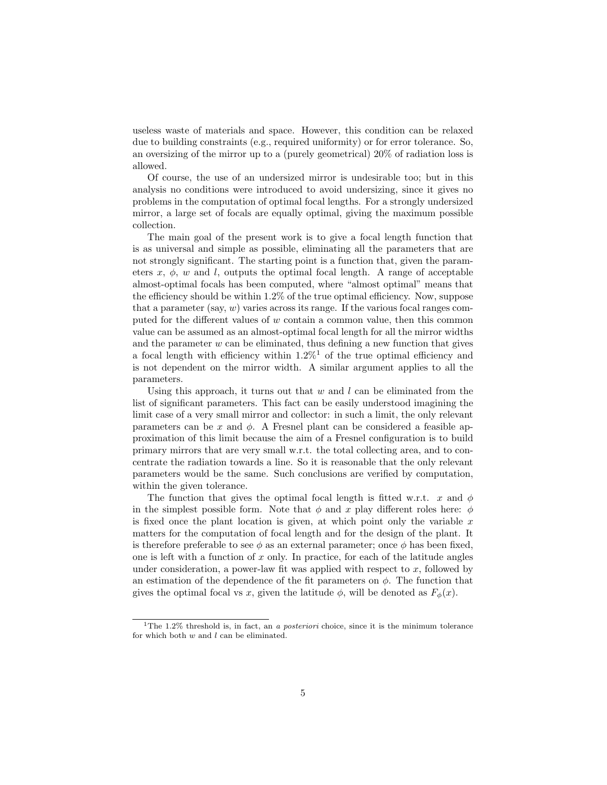useless waste of materials and space. However, this condition can be relaxed due to building constraints (e.g., required uniformity) or for error tolerance. So, an oversizing of the mirror up to a (purely geometrical) 20% of radiation loss is allowed.

Of course, the use of an undersized mirror is undesirable too; but in this analysis no conditions were introduced to avoid undersizing, since it gives no problems in the computation of optimal focal lengths. For a strongly undersized mirror, a large set of focals are equally optimal, giving the maximum possible collection.

The main goal of the present work is to give a focal length function that is as universal and simple as possible, eliminating all the parameters that are not strongly significant. The starting point is a function that, given the parameters  $x, \phi, w$  and l, outputs the optimal focal length. A range of acceptable almost-optimal focals has been computed, where "almost optimal" means that the efficiency should be within 1.2% of the true optimal efficiency. Now, suppose that a parameter (say,  $w$ ) varies across its range. If the various focal ranges computed for the different values of w contain a common value, then this common value can be assumed as an almost-optimal focal length for all the mirror widths and the parameter  $w$  can be eliminated, thus defining a new function that gives a focal length with efficiency within  $1.2\%$ <sup>1</sup> of the true optimal efficiency and is not dependent on the mirror width. A similar argument applies to all the parameters.

Using this approach, it turns out that  $w$  and  $l$  can be eliminated from the list of significant parameters. This fact can be easily understood imagining the limit case of a very small mirror and collector: in such a limit, the only relevant parameters can be x and  $\phi$ . A Fresnel plant can be considered a feasible approximation of this limit because the aim of a Fresnel configuration is to build primary mirrors that are very small w.r.t. the total collecting area, and to concentrate the radiation towards a line. So it is reasonable that the only relevant parameters would be the same. Such conclusions are verified by computation, within the given tolerance.

The function that gives the optimal focal length is fitted w.r.t. x and  $\phi$ in the simplest possible form. Note that  $\phi$  and x play different roles here:  $\phi$ is fixed once the plant location is given, at which point only the variable  $x$ matters for the computation of focal length and for the design of the plant. It is therefore preferable to see  $\phi$  as an external parameter; once  $\phi$  has been fixed, one is left with a function of  $x$  only. In practice, for each of the latitude angles under consideration, a power-law fit was applied with respect to  $x$ , followed by an estimation of the dependence of the fit parameters on  $\phi$ . The function that gives the optimal focal vs x, given the latitude  $\phi$ , will be denoted as  $F_{\phi}(x)$ .

<sup>&</sup>lt;sup>1</sup>The 1.2% threshold is, in fact, an *a posteriori* choice, since it is the minimum tolerance for which both  $w$  and  $l$  can be eliminated.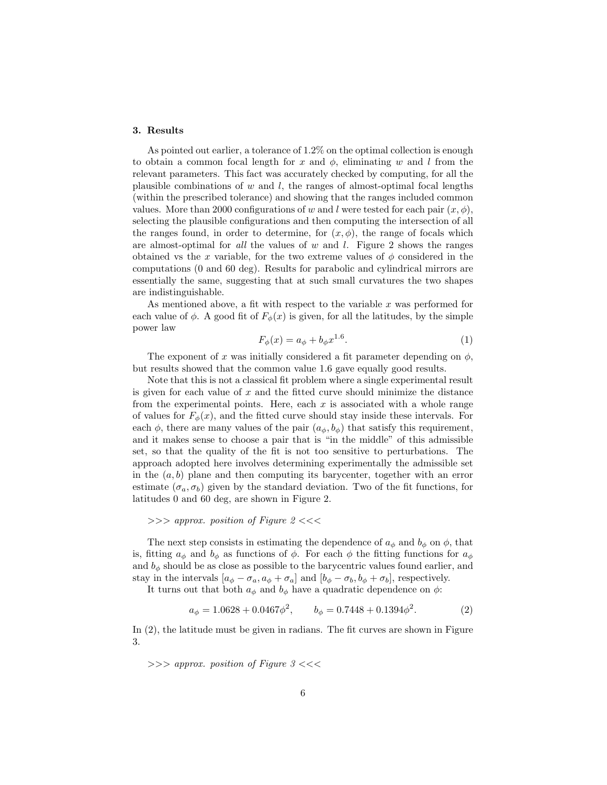### 3. Results

As pointed out earlier, a tolerance of 1.2% on the optimal collection is enough to obtain a common focal length for x and  $\phi$ , eliminating w and l from the relevant parameters. This fact was accurately checked by computing, for all the plausible combinations of  $w$  and  $l$ , the ranges of almost-optimal focal lengths (within the prescribed tolerance) and showing that the ranges included common values. More than 2000 configurations of w and l were tested for each pair  $(x, \phi)$ , selecting the plausible configurations and then computing the intersection of all the ranges found, in order to determine, for  $(x, \phi)$ , the range of focals which are almost-optimal for *all* the values of  $w$  and  $l$ . Figure 2 shows the ranges obtained vs the x variable, for the two extreme values of  $\phi$  considered in the computations (0 and 60 deg). Results for parabolic and cylindrical mirrors are essentially the same, suggesting that at such small curvatures the two shapes are indistinguishable.

As mentioned above, a fit with respect to the variable  $x$  was performed for each value of  $\phi$ . A good fit of  $F_{\phi}(x)$  is given, for all the latitudes, by the simple power law

$$
F_{\phi}(x) = a_{\phi} + b_{\phi} x^{1.6}.
$$
 (1)

The exponent of x was initially considered a fit parameter depending on  $\phi$ , but results showed that the common value 1.6 gave equally good results.

Note that this is not a classical fit problem where a single experimental result is given for each value of  $x$  and the fitted curve should minimize the distance from the experimental points. Here, each  $x$  is associated with a whole range of values for  $F_{\phi}(x)$ , and the fitted curve should stay inside these intervals. For each  $\phi$ , there are many values of the pair  $(a_{\phi}, b_{\phi})$  that satisfy this requirement, and it makes sense to choose a pair that is "in the middle" of this admissible set, so that the quality of the fit is not too sensitive to perturbations. The approach adopted here involves determining experimentally the admissible set in the  $(a, b)$  plane and then computing its barycenter, together with an error estimate  $(\sigma_a, \sigma_b)$  given by the standard deviation. Two of the fit functions, for latitudes 0 and 60 deg, are shown in Figure 2.

## $\gg$  > approx. position of Figure 2 <<<

The next step consists in estimating the dependence of  $a_{\phi}$  and  $b_{\phi}$  on  $\phi$ , that is, fitting  $a_{\phi}$  and  $b_{\phi}$  as functions of  $\phi$ . For each  $\phi$  the fitting functions for  $a_{\phi}$ and  $b_{\phi}$  should be as close as possible to the barycentric values found earlier, and stay in the intervals  $[a_{\phi} - \sigma_a, a_{\phi} + \sigma_a]$  and  $[b_{\phi} - \sigma_b, b_{\phi} + \sigma_b]$ , respectively.

It turns out that both  $a_{\phi}$  and  $b_{\phi}$  have a quadratic dependence on  $\phi$ :

$$
a_{\phi} = 1.0628 + 0.0467\phi^2, \qquad b_{\phi} = 0.7448 + 0.1394\phi^2. \tag{2}
$$

In (2), the latitude must be given in radians. The fit curves are shown in Figure 3.

 $\gg$  > approx. position of Figure 3 <<<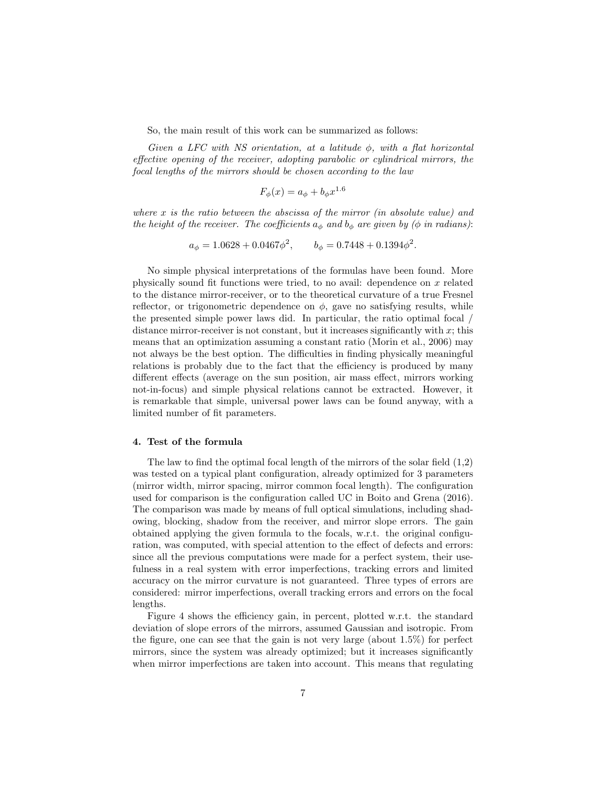So, the main result of this work can be summarized as follows:

Given a LFC with NS orientation, at a latitude  $\phi$ , with a flat horizontal effective opening of the receiver, adopting parabolic or cylindrical mirrors, the focal lengths of the mirrors should be chosen according to the law

$$
F_{\phi}(x) = a_{\phi} + b_{\phi}x^{1.6}
$$

where  $x$  is the ratio between the abscissa of the mirror (in absolute value) and the height of the receiver. The coefficients  $a_{\phi}$  and  $b_{\phi}$  are given by ( $\phi$  in radians):

$$
a_{\phi} = 1.0628 + 0.0467\phi^2, \qquad b_{\phi} = 0.7448 + 0.1394\phi^2.
$$

No simple physical interpretations of the formulas have been found. More physically sound fit functions were tried, to no avail: dependence on  $x$  related to the distance mirror-receiver, or to the theoretical curvature of a true Fresnel reflector, or trigonometric dependence on  $\phi$ , gave no satisfying results, while the presented simple power laws did. In particular, the ratio optimal focal / distance mirror-receiver is not constant, but it increases significantly with  $x$ ; this means that an optimization assuming a constant ratio (Morin et al., 2006) may not always be the best option. The difficulties in finding physically meaningful relations is probably due to the fact that the efficiency is produced by many different effects (average on the sun position, air mass effect, mirrors working not-in-focus) and simple physical relations cannot be extracted. However, it is remarkable that simple, universal power laws can be found anyway, with a limited number of fit parameters.

#### 4. Test of the formula

The law to find the optimal focal length of the mirrors of the solar field (1,2) was tested on a typical plant configuration, already optimized for 3 parameters (mirror width, mirror spacing, mirror common focal length). The configuration used for comparison is the configuration called UC in Boito and Grena (2016). The comparison was made by means of full optical simulations, including shadowing, blocking, shadow from the receiver, and mirror slope errors. The gain obtained applying the given formula to the focals, w.r.t. the original configuration, was computed, with special attention to the effect of defects and errors: since all the previous computations were made for a perfect system, their usefulness in a real system with error imperfections, tracking errors and limited accuracy on the mirror curvature is not guaranteed. Three types of errors are considered: mirror imperfections, overall tracking errors and errors on the focal lengths.

Figure 4 shows the efficiency gain, in percent, plotted w.r.t. the standard deviation of slope errors of the mirrors, assumed Gaussian and isotropic. From the figure, one can see that the gain is not very large (about 1.5%) for perfect mirrors, since the system was already optimized; but it increases significantly when mirror imperfections are taken into account. This means that regulating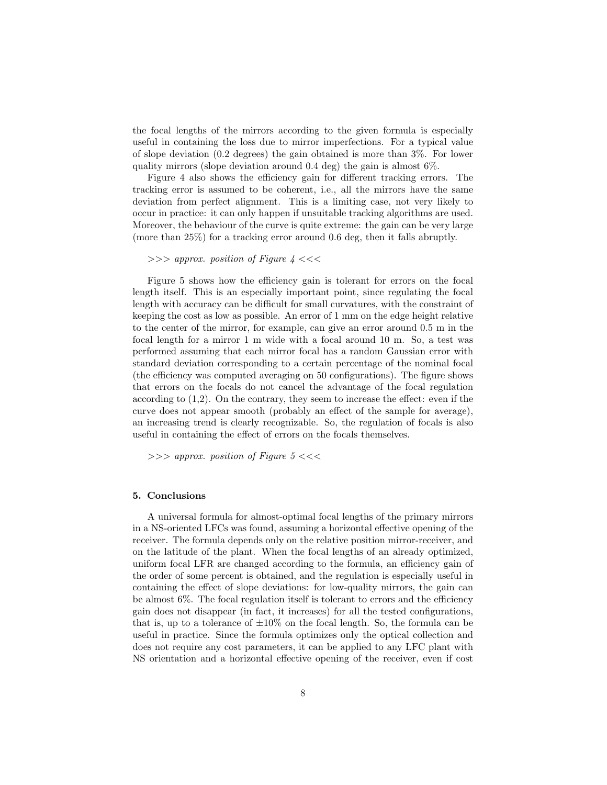the focal lengths of the mirrors according to the given formula is especially useful in containing the loss due to mirror imperfections. For a typical value of slope deviation (0.2 degrees) the gain obtained is more than 3%. For lower quality mirrors (slope deviation around 0.4 deg) the gain is almost 6%.

Figure 4 also shows the efficiency gain for different tracking errors. The tracking error is assumed to be coherent, i.e., all the mirrors have the same deviation from perfect alignment. This is a limiting case, not very likely to occur in practice: it can only happen if unsuitable tracking algorithms are used. Moreover, the behaviour of the curve is quite extreme: the gain can be very large (more than 25%) for a tracking error around 0.6 deg, then it falls abruptly.

```
\gg > approx. position of Figure 4 <<<
```
Figure 5 shows how the efficiency gain is tolerant for errors on the focal length itself. This is an especially important point, since regulating the focal length with accuracy can be difficult for small curvatures, with the constraint of keeping the cost as low as possible. An error of 1 mm on the edge height relative to the center of the mirror, for example, can give an error around 0.5 m in the focal length for a mirror 1 m wide with a focal around 10 m. So, a test was performed assuming that each mirror focal has a random Gaussian error with standard deviation corresponding to a certain percentage of the nominal focal (the efficiency was computed averaging on 50 configurations). The figure shows that errors on the focals do not cancel the advantage of the focal regulation according to (1,2). On the contrary, they seem to increase the effect: even if the curve does not appear smooth (probably an effect of the sample for average), an increasing trend is clearly recognizable. So, the regulation of focals is also useful in containing the effect of errors on the focals themselves.

 $\gg$  > approx. position of Figure 5 <<<

## 5. Conclusions

A universal formula for almost-optimal focal lengths of the primary mirrors in a NS-oriented LFCs was found, assuming a horizontal effective opening of the receiver. The formula depends only on the relative position mirror-receiver, and on the latitude of the plant. When the focal lengths of an already optimized, uniform focal LFR are changed according to the formula, an efficiency gain of the order of some percent is obtained, and the regulation is especially useful in containing the effect of slope deviations: for low-quality mirrors, the gain can be almost 6%. The focal regulation itself is tolerant to errors and the efficiency gain does not disappear (in fact, it increases) for all the tested configurations, that is, up to a tolerance of  $\pm 10\%$  on the focal length. So, the formula can be useful in practice. Since the formula optimizes only the optical collection and does not require any cost parameters, it can be applied to any LFC plant with NS orientation and a horizontal effective opening of the receiver, even if cost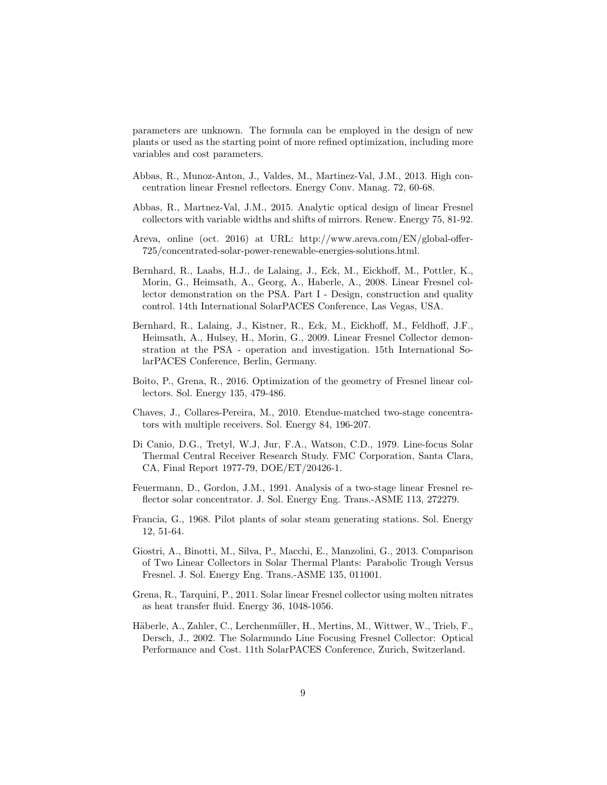parameters are unknown. The formula can be employed in the design of new plants or used as the starting point of more refined optimization, including more variables and cost parameters.

- Abbas, R., Munoz-Anton, J., Valdes, M., Martinez-Val, J.M., 2013. High concentration linear Fresnel reflectors. Energy Conv. Manag. 72, 60-68.
- Abbas, R., Martnez-Val, J.M., 2015. Analytic optical design of linear Fresnel collectors with variable widths and shifts of mirrors. Renew. Energy 75, 81-92.
- Areva, online (oct. 2016) at URL: http://www.areva.com/EN/global-offer-725/concentrated-solar-power-renewable-energies-solutions.html.
- Bernhard, R., Laabs, H.J., de Lalaing, J., Eck, M., Eickhoff, M., Pottler, K., Morin, G., Heimsath, A., Georg, A., Haberle, A., 2008. Linear Fresnel collector demonstration on the PSA. Part I - Design, construction and quality control. 14th International SolarPACES Conference, Las Vegas, USA.
- Bernhard, R., Lalaing, J., Kistner, R., Eck, M., Eickhoff, M., Feldhoff, J.F., Heimsath, A., Hulsey, H., Morin, G., 2009. Linear Fresnel Collector demonstration at the PSA - operation and investigation. 15th International SolarPACES Conference, Berlin, Germany.
- Boito, P., Grena, R., 2016. Optimization of the geometry of Fresnel linear collectors. Sol. Energy 135, 479-486.
- Chaves, J., Collares-Pereira, M., 2010. Etendue-matched two-stage concentrators with multiple receivers. Sol. Energy 84, 196-207.
- Di Canio, D.G., Tretyl, W.J, Jur, F.A., Watson, C.D., 1979. Line-focus Solar Thermal Central Receiver Research Study. FMC Corporation, Santa Clara, CA, Final Report 1977-79, DOE/ET/20426-1.
- Feuermann, D., Gordon, J.M., 1991. Analysis of a two-stage linear Fresnel reflector solar concentrator. J. Sol. Energy Eng. Trans.-ASME 113, 272279.
- Francia, G., 1968. Pilot plants of solar steam generating stations. Sol. Energy 12, 51-64.
- Giostri, A., Binotti, M., Silva, P., Macchi, E., Manzolini, G., 2013. Comparison of Two Linear Collectors in Solar Thermal Plants: Parabolic Trough Versus Fresnel. J. Sol. Energy Eng. Trans.-ASME 135, 011001.
- Grena, R., Tarquini, P., 2011. Solar linear Fresnel collector using molten nitrates as heat transfer fluid. Energy 36, 1048-1056.
- Häberle, A., Zahler, C., Lerchenmüller, H., Mertins, M., Wittwer, W., Trieb, F., Dersch, J., 2002. The Solarmundo Line Focusing Fresnel Collector: Optical Performance and Cost. 11th SolarPACES Conference, Zurich, Switzerland.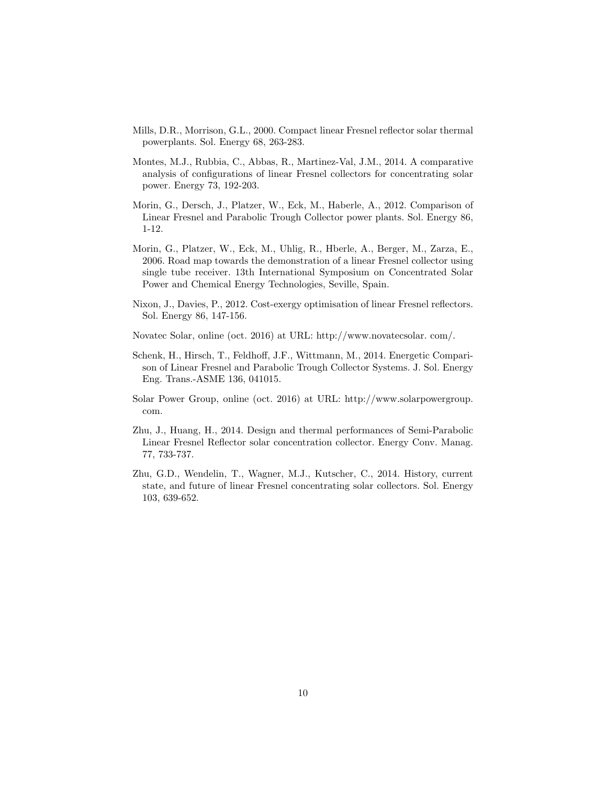- Mills, D.R., Morrison, G.L., 2000. Compact linear Fresnel reflector solar thermal powerplants. Sol. Energy 68, 263-283.
- Montes, M.J., Rubbia, C., Abbas, R., Martinez-Val, J.M., 2014. A comparative analysis of configurations of linear Fresnel collectors for concentrating solar power. Energy 73, 192-203.
- Morin, G., Dersch, J., Platzer, W., Eck, M., Haberle, A., 2012. Comparison of Linear Fresnel and Parabolic Trough Collector power plants. Sol. Energy 86, 1-12.
- Morin, G., Platzer, W., Eck, M., Uhlig, R., Hberle, A., Berger, M., Zarza, E., 2006. Road map towards the demonstration of a linear Fresnel collector using single tube receiver. 13th International Symposium on Concentrated Solar Power and Chemical Energy Technologies, Seville, Spain.
- Nixon, J., Davies, P., 2012. Cost-exergy optimisation of linear Fresnel reflectors. Sol. Energy 86, 147-156.
- Novatec Solar, online (oct. 2016) at URL: http://www.novatecsolar. com/.
- Schenk, H., Hirsch, T., Feldhoff, J.F., Wittmann, M., 2014. Energetic Comparison of Linear Fresnel and Parabolic Trough Collector Systems. J. Sol. Energy Eng. Trans.-ASME 136, 041015.
- Solar Power Group, online (oct. 2016) at URL: http://www.solarpowergroup. com.
- Zhu, J., Huang, H., 2014. Design and thermal performances of Semi-Parabolic Linear Fresnel Reflector solar concentration collector. Energy Conv. Manag. 77, 733-737.
- Zhu, G.D., Wendelin, T., Wagner, M.J., Kutscher, C., 2014. History, current state, and future of linear Fresnel concentrating solar collectors. Sol. Energy 103, 639-652.